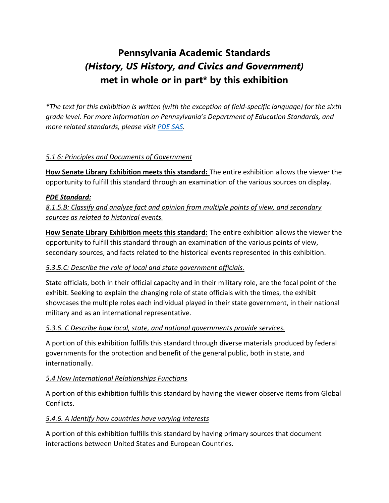# **Pennsylvania Academic Standards** *(History, US History, and Civics and Government)* **met in whole or in part\* by this exhibition**

*\*The text for this exhibition is written (with the exception of field-specific language) for the sixth grade level. For more information on Pennsylvania's Department of Education Standards, and more related standards, please visit [PDE SAS.](https://www.pdesas.org/default.aspx)* 

### *5.1 6: Principles and Documents of Government*

**How Senate Library Exhibition meets this standard:** The entire exhibition allows the viewer the opportunity to fulfill this standard through an examination of the various sources on display.

#### *PDE Standard:*

*8.1.5.B: Classify and analyze fact and opinion from multiple points of view, and secondary sources as related to historical events.*

**How Senate Library Exhibition meets this standard:** The entire exhibition allows the viewer the opportunity to fulfill this standard through an examination of the various points of view, secondary sources, and facts related to the historical events represented in this exhibition.

#### *5.3.5.C: Describe the role of local and state government officials.*

State officials, both in their official capacity and in their military role, are the focal point of the exhibit. Seeking to explain the changing role of state officials with the times, the exhibit showcases the multiple roles each individual played in their state government, in their national military and as an international representative.

#### *5.3.6. C Describe how local, state, and national governments provide services.*

A portion of this exhibition fulfills this standard through diverse materials produced by federal governments for the protection and benefit of the general public, both in state, and internationally.

#### *5.4 How International Relationships Functions*

A portion of this exhibition fulfills this standard by having the viewer observe items from Global Conflicts.

#### *5.4.6. A Identify how countries have varying interests*

A portion of this exhibition fulfills this standard by having primary sources that document interactions between United States and European Countries*.*